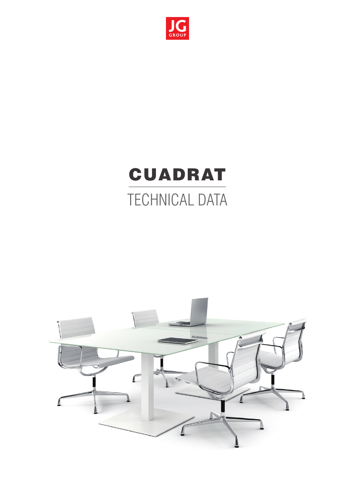

# CUADRAT TECHNICAL DATA

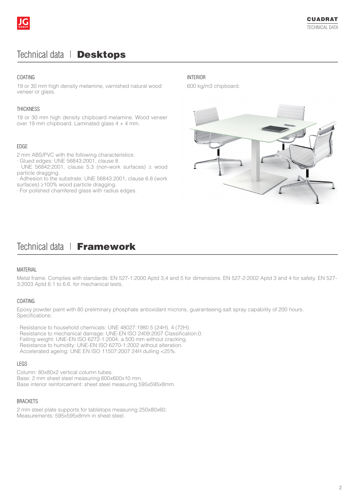## Technical data | Desktops

#### **COATING**

19 or 30 mm high density melamine, varnished natural wood veneer or glass.

#### **THICKNESS**

19 or 30 mm high density chipboard melamine. Wood veneer over 19 mm chipboard. Laminated glass 4 + 4 mm.

#### EDGE

2 mm ABS/PVC with the following characteristics:

· Glued edges: UNE 56843:2001, clause 8.

 $\cdot$  UNE 56842:2001, clause 5.3 (non-work surfaces)  $\geq$  wood particle dragging.

· Adhesion to the substrate: UNE 56843:2001, clause 6.8 (work surfaces) ≥100% wood particle dragging.

· For polished chamfered glass with radius edges.

#### INTERIOR

600 kg/m3 chipboard.



# Technical data | Framework

#### MATERIAL

Metal frame. Complies with standards: EN 527-1:2000 Aptd 3,4 and 5 for dimensions. EN 527-2:2002 Aptd 3 and 4 for safety. EN 527- 3:2003 Aptd 6.1 to 6.6. for mechanical tests.

#### COATING

Epoxy powder paint with 80 preliminary phosphate antioxidant microns, guaranteeing salt spray capability of 200 hours. Specifications:

- · Resistance to household chemicals: UNE 48027:1980 5 (24H), 4 (72H).
- · Resistance to mechanical damage: UNE-EN ISO 2409:2007 Classification:0.
- · Falling weight: UNE-EN ISO 6272-1:2004, a 500 mm without cracking.
- · Resistance to humidity: UNE-EN ISO 6270-1:2002 without alteration.
- · Accelerated ageing: UNE EN ISO 11507:2007 24H dulling <25%.

#### LEGS

Column: 80x80x2 vertical column tubes. Base: 2 mm sheet steel measuring 600x600x10 mm. Base interior reinforcement: sheet steel measuring 595x595x8mm.

#### BRACKETS

2 mm steel plate supports for tabletops measuring 250x80x60. Measurements: 595x595x8mm in sheet steel.